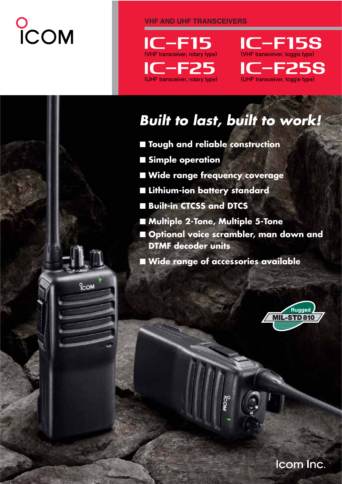# COM

<sup>o</sup>com

**VHF AND UHF TRANSCEIVERS**





# *Built to last, built to work!*

- **Tough and reliable construction**
- **Simple operation**
- **Wide range frequency coverage**
- **Lithium-ion battery standard**
- **Built-in CTCSS and DTCS**
- **Multiple 2-Tone, Multiple 5-Tone**
- **Optional voice scrambler, man down and DTMF decoder units**
- **Wide range of accessories available**



Icom Inc.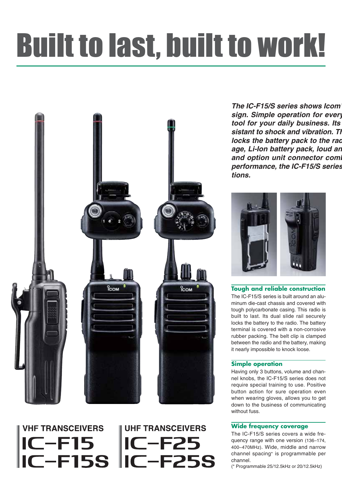# Built to last, built to work!

**UHF TRANSCEIVERS** 

**IC-F25** 

C-F15 IC-F25<br>C-F15S IC-F25S



**VHF TRANSCEIVERS** 

 $IC$ -F15

*The IC-F15/S series shows Icom' sign. Simple operation for every tool for your daily business. Its sistant to shock and vibration. Th locks the battery pack to the rad age, Li-Ion battery pack, loud an* and option unit connector comb *performance, the IC-F15/S series tions.*



**Tough and reliable construction** The IC-F15/S series is built around an aluminum die-cast chassis and covered with tough polycarbonate casing. This radio is built to last. Its dual slide rail securely locks the battery to the radio. The battery terminal is covered with a non-corrosive rubber packing. The belt clip is clamped between the radio and the battery, making it nearly impossible to knock loose.

## **Simple operation**

Having only 3 buttons, volume and channel knobs, the IC-F15/S series does not require special training to use. Positive button action for sure operation even when wearing gloves, allows you to get down to the business of communicating without fuss.

# **Wide frequency coverage**

The IC-F15/S series covers a wide frequency range with one version (136–174, 400–470MHz). Wide, middle and narrow channel spacing\* is programmable per channel.

(\* Programmable 25/12.5kHz or 20/12.5kHz)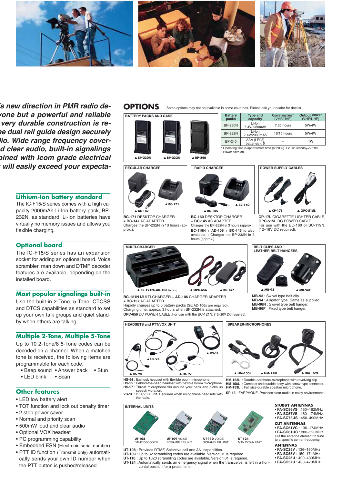

*'s new direction in PMR radio deyone but a powerful and reliable very durable construction is rehe dual rail guide design securely dio. Wide range frequency covernd clear audio, built-in signalings bined with Icom grade electrical s will easily exceed your expecta-*

# **Lithium-Ion battery standard**

The IC-F15/S series comes with a high capacity 2000mAh Li-Ion battery pack, BP-232N, as standard. Li-Ion batteries have virtually no memory issues and allows you flexible charging.

### **Optional board**

The IC-F15/S series has an expansion socket for adding an optional board. Voice scrambler, man down and DTMF decoder features are available, depending on the installed board.

## **Most popular signalings built-in**

Use the built-in 2-Tone, 5-Tone, CTCSS and DTCS capabilities as standard to set up your own talk groups and quiet standby when others are talking.

### **Multiple 2-Tone, Multiple 5-Tone**

Up to 10 2-Tone/8 5-Tone codes can be decoded on a channel. When a matched tone is received, the following items are programmable for each code.

- Beep sound Answer back Stun
- LED blink Scan

### **Other features**

- LED low battery alert
- TOT function and lock out penalty timer
- 2 step power saver
- Normal and priority scan
- 500mW loud and clear audio
- Optional VOX headset
- PC programming capability
- Embedded ESN (Electronic serial number)
- PTT ID function (Transmit only) automatically sends your own ID number when the PTT button is pushed/released

## **OPTIONS**

**REGULAR CHARGER**



**BC-171** DESKTOP CHARGER + **BC-147** AC ADAPTER

▲ **BC-147**

prox.).

Charges the BP-232N in 10 hours (ap-

▲ **BC-171**

▲ **BP-240**

# ▲ **BC-160 RAPID CHARGER** ▲ **BC-145**

Some options may not be available in some countries. Please ask your dealer for details.

**BC-160** DESKTOP CHARGER + **BC-145** AC ADAPTER Charges the BP-232N in 3 hours (approx.). **BC-119N** + **AD-106** + **BC-145** is also

available. : Charges the BP-232N in 3 hours (approx.).

# **Battery Type and Operating time**\* **Output power packs capacity** (VHF/UHF) (VHF/UHF) BP-230N Li-Ion 7.35 hours 5W/4W 7.4V/ 980mAh BP-232N Li-Ion 16/15 hours 5W/4W  $\begin{array}{|c|c|c|c|}\n\hline\n\text{BP-240} & \text{AAA (LRO3)} & - & 1W \\
\text{batteries}\times 6 & - & 1W\n\end{array}$

Operating time is approximate time (at 20°C). Tx: Rx: standby=5:5:90. Power save on.



**CP-17L** CIGARETTE LIGHTER CABLE, **OPC-515L** DC POWER CABLE For use with the BC-160 or BC-119N. (12–16V DC required).



**BC-121N** MULTI-CHARGER + **AD-106** CHARGER ADAPTER

+ **BC-157** AC ADAPTER Rapidly charges up to 6 battery packs (Six AD-106s are required). Charging time: approx. 3 hours when BP-232N is attached. **OPC-656** DC POWER CABLE :For use with the BC-121N. (12–20V DC required).

**SPEAKER-MICROPHONES MB-96N** : Swivel type belt hanger. **MB-96F** : Fixed type belt hanger.

▲ **MB-93 MB-93** : Swivel type belt clip. **MB-94** : Alligator type. Same as supplied.

**BELT CLIPS AND LEATHER BELT HANGERS**

▲ **HM-153L** ▲ **HM-158L**

**HM-153L** : Durable earphone-microphone with revolving clip. **HM-158L** : Compact and durable body with screw-type connector. **HM-159L** : Full size durable speaker microphone.

**SP-13** : EARPHONE. Provides clear audio in noisy environments.

## **STUBBY ANTENNAS**

• **FA-SC56VS** : 150–162MHz • **FA-SC57VS** : 160–174MHz • **FA-SC73US** : 450–490MHz

▲ **HM-159L**

▲ **MB-96F**

**CUT ANTENNAS**

• **FA-SC61VC** : 136–174MHz • **FA-SC61UC** : 380–520MHz

Cut the antenna element to tune to a specific center frequency.

#### **ANTENNAS**

- - **FA-SC25V** : 136–150MHz **FA-SC55V** : 150–174MHz
	- **FA-SC25U** : 400–430MHz • **FA-SC57U** : 430–470MHz
- **UT-109** : Up to 32 scrambling codes are available. Version 01 is required. **UT-110** : Up to 1020 scrambling codes are available. Version 01 is required. **UT-124** : Automatically sends an emergency signal when the transceiver is left in a horizontal position for a preset time.

**HEADSETS and PTT/VOX UNIT**



**HS-94** : Earhook headset with flexible boom microphone. **HS-95** : Behind-the-head headset with flexible boom microphone.

- **HS-97** : Throat microphone fits around your neck and picks up speech vibration **VS-1L** : PTT/VOX unit. Required when using these headsets with
- the radio.